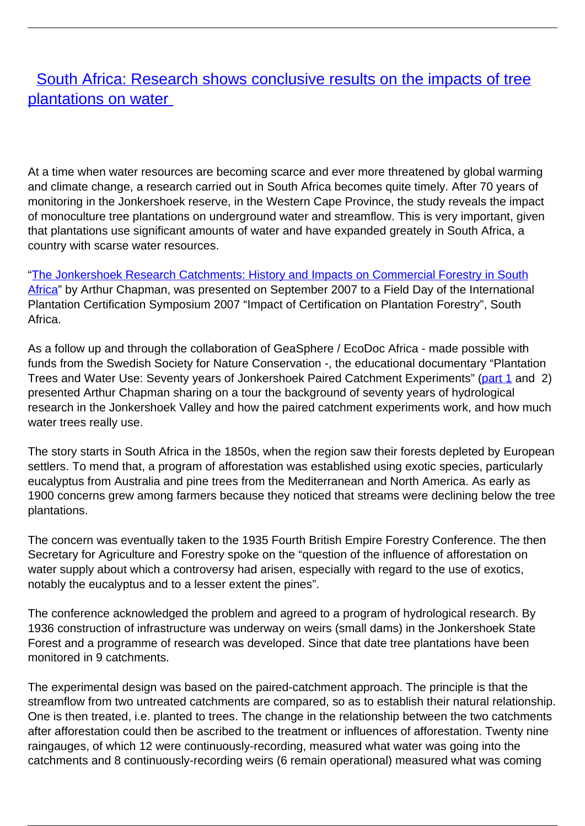## [South Africa: Research shows conclusive results on the impacts of tree](/bulletin-articles/south-africa-research-shows-conclusive-results-on-the-impacts-of-tree-plantations-on-water) [plantations on water](/bulletin-articles/south-africa-research-shows-conclusive-results-on-the-impacts-of-tree-plantations-on-water)

At a time when water resources are becoming scarce and ever more threatened by global warming and climate change, a research carried out in South Africa becomes quite timely. After 70 years of monitoring in the Jonkershoek reserve, in the Western Cape Province, the study reveals the impact of monoculture tree plantations on underground water and streamflow. This is very important, given that plantations use significant amounts of water and have expanded greately in South Africa, a country with scarse water resources.

["The Jonkershoek Research Catchments: History and Impacts on Commercial Forestry in South](http://researchspace.csir.co.za/dspace/bitstream/10204/4174/1/Chapman_2007.pdf) [Africa](http://researchspace.csir.co.za/dspace/bitstream/10204/4174/1/Chapman_2007.pdf)" by Arthur Chapman, was presented on September 2007 to a Field Day of the International Plantation Certification Symposium 2007 "Impact of Certification on Plantation Forestry", South Africa.

As a follow up and through the collaboration of GeaSphere / EcoDoc Africa - made possible with funds from the Swedish Society for Nature Conservation -, the educational documentary "Plantation Trees and Water Use: Seventy years of Jonkershoek Paired Catchment Experiments" ([part 1](http://www.myvideo.co.za/video/plantation-trees-and-water-use-part-1) and [2\)](span class=) presented Arthur Chapman sharing on a tour the background of seventy years of hydrological research in the Jonkershoek Valley and how the paired catchment experiments work, and how much water trees really use.

The story starts in South Africa in the 1850s, when the region saw their forests depleted by European settlers. To mend that, a program of afforestation was established using exotic species, particularly eucalyptus from Australia and pine trees from the Mediterranean and North America. As early as 1900 concerns grew among farmers because they noticed that streams were declining below the tree plantations.

The concern was eventually taken to the 1935 Fourth British Empire Forestry Conference. The then Secretary for Agriculture and Forestry spoke on the "question of the influence of afforestation on water supply about which a controversy had arisen, especially with regard to the use of exotics, notably the eucalyptus and to a lesser extent the pines".

The conference acknowledged the problem and agreed to a program of hydrological research. By 1936 construction of infrastructure was underway on weirs (small dams) in the Jonkershoek State Forest and a programme of research was developed. Since that date tree plantations have been monitored in 9 catchments.

The experimental design was based on the paired-catchment approach. The principle is that the streamflow from two untreated catchments are compared, so as to establish their natural relationship. One is then treated, i.e. planted to trees. The change in the relationship between the two catchments after afforestation could then be ascribed to the treatment or influences of afforestation. Twenty nine raingauges, of which 12 were continuously-recording, measured what water was going into the catchments and 8 continuously-recording weirs (6 remain operational) measured what was coming